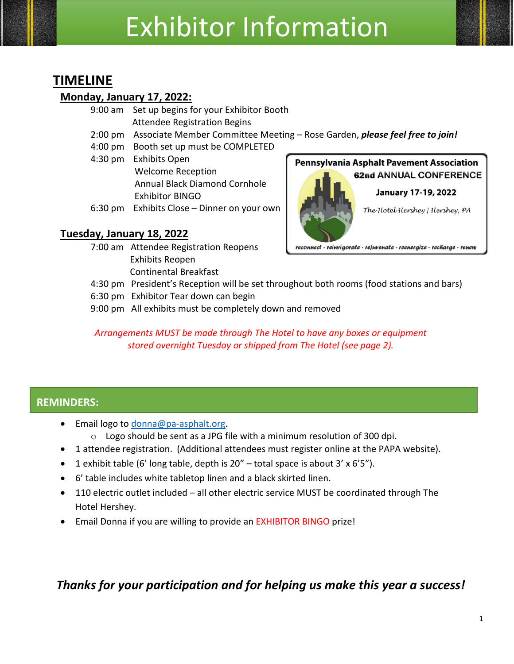# Exhibitor Information

# **TIMELINE**

### **Monday, January 17, 2022:**

- 9:00 am Set up begins for your Exhibitor Booth Attendee Registration Begins
- 2:00 pm Associate Member Committee Meeting Rose Garden, *please feel free to join!*
- 4:00 pm Booth set up must be COMPLETED
- 4:30 pm Exhibits Open Welcome Reception Annual Black Diamond Cornhole Exhibitor BINGO
- 6:30 pm Exhibits Close Dinner on your own

## **Tuesday, January 18, 2022**

7:00 am Attendee Registration Reopens Exhibits Reopen Continental Breakfast

#### **Pennsylvania Asphalt Pavement Association** 62nd ANNUAL CONFERENCE



January 17-19, 2022

The Hotel Hershey | Hershey, PA

reconnect - reinvigorate - rejuvenate - reenergize - recharge - renew

- 4:30 pm President's Reception will be set throughout both rooms (food stations and bars)
- 6:30 pm Exhibitor Tear down can begin
- 9:00 pm All exhibits must be completely down and removed

*Arrangements MUST be made through The Hotel to have any boxes or equipment stored overnight Tuesday or shipped from The Hotel (see page 2).*

## **REMINDERS:**

- Email logo to [donna@pa-asphalt.org.](mailto:donna@pa-asphalt.org)
	- o Logo should be sent as a JPG file with a minimum resolution of 300 dpi.
- 1 attendee registration. (Additional attendees must register online at the PAPA website).
- 1 exhibit table (6' long table, depth is  $20''$  total space is about 3' x 6'5").
- 6' table includes white tabletop linen and a black skirted linen.
- 110 electric outlet included all other electric service MUST be coordinated through The Hotel Hershey.
- Email Donna if you are willing to provide an EXHIBITOR BINGO prize!

## *Thanks for your participation and for helping us make this year a success!*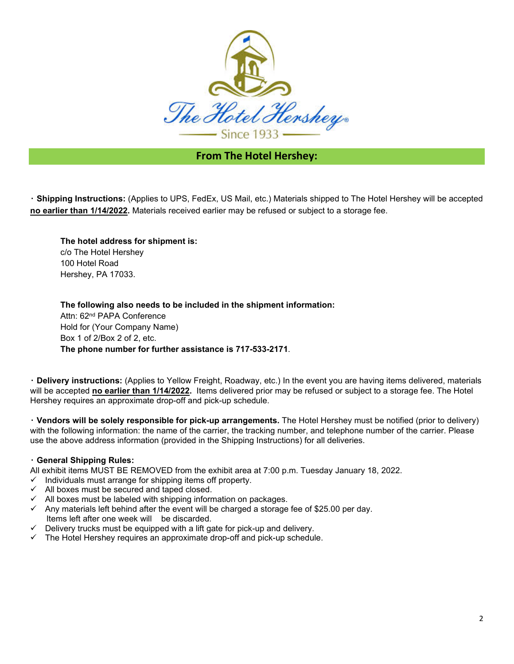

#### **From The Hotel Hershey:**

‧ **Shipping Instructions:** (Applies to UPS, FedEx, US Mail, etc.) Materials shipped to The Hotel Hershey will be accepted **no earlier than 1/14/2022.** Materials received earlier may be refused or subject to a storage fee.

**The hotel address for shipment is:**  c/o The Hotel Hershey 100 Hotel Road Hershey, PA 17033.

**The following also needs to be included in the shipment information:**  Attn: 62nd PAPA Conference Hold for (Your Company Name) Box 1 of 2/Box 2 of 2, etc. **The phone number for further assistance is 717-533-2171**.

‧ **Delivery instructions:** (Applies to Yellow Freight, Roadway, etc.) In the event you are having items delivered, materials will be accepted **no earlier than 1/14/2022.** Items delivered prior may be refused or subject to a storage fee. The Hotel Hershey requires an approximate drop-off and pick-up schedule.

‧ **Vendors will be solely responsible for pick-up arrangements.** The Hotel Hershey must be notified (prior to delivery) with the following information: the name of the carrier, the tracking number, and telephone number of the carrier. Please use the above address information (provided in the Shipping Instructions) for all deliveries.

#### ‧ **General Shipping Rules:**

All exhibit items MUST BE REMOVED from the exhibit area at 7:00 p.m. Tuesday January 18, 2022.

- Individuals must arrange for shipping items off property.
- $\checkmark$  All boxes must be secured and taped closed.
- $\checkmark$  All boxes must be labeled with shipping information on packages.
- $\checkmark$  Any materials left behind after the event will be charged a storage fee of \$25.00 per day. Items left after one week will be discarded.
- $\checkmark$  Delivery trucks must be equipped with a lift gate for pick-up and delivery.
- The Hotel Hershey requires an approximate drop-off and pick-up schedule.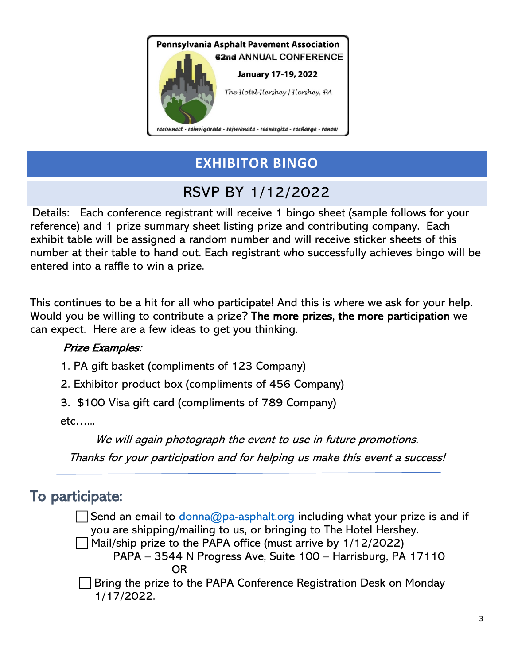

# **EXHIBITOR BINGO**

# RSVP BY 1/12/2022

Details: Each conference registrant will receive 1 bingo sheet (sample follows for your reference) and 1 prize summary sheet listing prize and contributing company. Each exhibit table will be assigned a random number and will receive sticker sheets of this number at their table to hand out. Each registrant who successfully achieves bingo will be entered into a raffle to win a prize.

This continues to be a hit for all who participate! And this is where we ask for your help. Would you be willing to contribute a prize? The more prizes, the more participation we can expect. Here are a few ideas to get you thinking.

## Prize Examples:

- 1. PA gift basket (compliments of 123 Company)
- 2. Exhibitor product box (compliments of 456 Company)
- 3. \$100 Visa gift card (compliments of 789 Company)

etc…...

We will again photograph the event to use in future promotions.

Thanks for your participation and for helping us make this event a success!

# To participate:

Send an email to [donna@pa-asphalt.org](mailto:donna@pa-asphalt.org) including what your prize is and if you are shipping/mailing to us, or bringing to The Hotel Hershey.

 $\Box$  Mail/ship prize to the PAPA office (must arrive by 1/12/2022) PAPA – 3544 N Progress Ave, Suite 100 – Harrisburg, PA 17110 **ORIGINAL CONTRACT CONTRACT ORIGINAL** 

 Bring the prize to the PAPA Conference Registration Desk on Monday 1/17/2022.